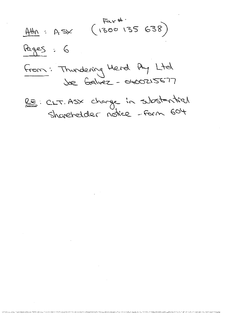$\begin{pmatrix} 5a & 4 \\ 1300 & 135 & 638 \end{pmatrix}$  $A\#N$  : Asx Pages: 6 From: Thundering Herd Ay Ltd

RE: CLT. ASY change in substantial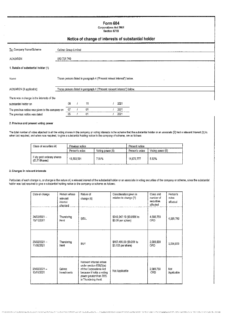# Form 604

Corporations Act 2001 Section 671B

# Notice of change of interests of substantial holder

| To: Company Name/Scheme                         | Celinet Group Limited |     |    |                                                                          |      |  |
|-------------------------------------------------|-----------------------|-----|----|--------------------------------------------------------------------------|------|--|
| ACN/ARSN                                        | 010 721 749           |     |    |                                                                          |      |  |
| 1. Details of substantial holder (1)            |                       |     |    |                                                                          |      |  |
|                                                 |                       |     |    |                                                                          |      |  |
| Name                                            |                       |     |    | Those persons listed in paragraph 4 ("Present relevat interest") below.  |      |  |
| ACN/ARSN (if applicable)                        |                       |     |    | Those persons listed in paragraph 4 ("Present relevant interest") below. |      |  |
| There was a change in the interests of the      |                       |     |    |                                                                          |      |  |
| substantial holder on                           |                       | 08  | 11 |                                                                          | 2021 |  |
| The previous notice was given to the company on |                       | -07 | 01 |                                                                          | 2021 |  |
| The previous notice was dated                   |                       | 05  | 01 |                                                                          | 2021 |  |

### 2. Previous and present voting power

The total number of votes attached to all the voting shares in the company or voting interests in the acheme that the aubstantial holder or an associate (2) had a relevant interest (3) in when last required, and when now required, to give a substantial holding notice to the company of scheme, are as follows:

| Class of securities (4)                    | Previous notice | 1122723-007      | Present notice |                  |  |
|--------------------------------------------|-----------------|------------------|----------------|------------------|--|
|                                            | Person's votes  | Voting power (5) | Person's votes | Voting power (5) |  |
| Fully paid ordinary shares<br>(CLT Shares) | 18.563.591      | 7.91%            | 14.675.777     | 5.92%            |  |

#### 3. Changes in relevant interests

Particulars of each change in, or change in the nature of, a relevant interest of the substantial holder or an associate in voting securities of the company or scheme, since the substantial<br>holder was last required to give

| Date of change             | Person whose<br>relevant<br>interest<br>_changed. | Nature of<br>change (6)                                                                                                                                      | Consideration given in<br>relation to change (7)  | Class and<br>number of<br>securities<br>affected | Person's<br>votes<br>affected |  |
|----------------------------|---------------------------------------------------|--------------------------------------------------------------------------------------------------------------------------------------------------------------|---------------------------------------------------|--------------------------------------------------|-------------------------------|--|
| 24/03/2021 -<br>15/11/2021 | Thundering<br>Herd                                | SELL                                                                                                                                                         | \$312,247.10 (\$0.0596 to<br>$$0.09$ per s, hare) | 4.989.750<br>ORD                                 | 4,989,750                     |  |
| 25/02/2021 -<br>11/06/2021 | Thundering<br>Herd                                | BUY                                                                                                                                                          | \$167,490.50 (\$0.061 to<br>\$0.105 per share)    | 2,000,000<br>ORD                                 | 2,000,000                     |  |
| 25/02/2021-<br>15/11/2021  | Galvez<br>Investments                             | Relevant interest artses<br>under section 608(3)(a)<br>of the Corporations Act<br>because it holds a voting<br>power greater than 20%<br>in Thundering Herd. | Not Applicable                                    | 2,989.750<br>ORD                                 | Not<br>Applicable             |  |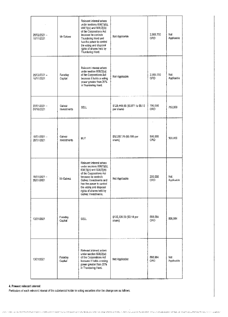| 25/02/2021 -<br>15/11/2021 | Mr Galvez             | Relevant interest arises<br>under sections 608(1)(b),<br>608(1)(c) and 608(3)(b)<br>of the Corporations Act<br>because he controls<br>Thundering Herd and<br>has the power to control<br>the voting and disposal<br>rights of shares held by<br>Thundering Herd.       | Not Applicable                                | 2,989,750<br>ORD      | Not<br>Applicable  |
|----------------------------|-----------------------|------------------------------------------------------------------------------------------------------------------------------------------------------------------------------------------------------------------------------------------------------------------------|-----------------------------------------------|-----------------------|--------------------|
| 25/02/2021 -<br>15/11/2021 | Faraday<br>Capital    | Relevant interest arises<br>under section 608(3)(a)<br>of the Corporations Act<br>because it holds a voting<br>power greater than 20%<br>in Thundering Herd.                                                                                                           | Not Applicable                                | 2,989,750<br>ORD      | Not<br>Applicable  |
| 22/01/2021-<br>01/10/2021  | Galvez<br>Investments | SELL                                                                                                                                                                                                                                                                   | \$128,449.85 (\$0.071 to \$0.12<br>per share) | 750,000<br>ORD        | 750,000            |
| 18/01/2021<br>28/01/2021   | Galvez<br>investments | <b>BUY</b>                                                                                                                                                                                                                                                             | \$52,557.76 (\$0.105 per<br>shara)            | 500,000<br>ORD        | 500,000            |
| 18/01/2021-<br>28/01/2021  | Mr Galvez             | Relevant interest arises<br>under sections 608(1)(b).<br>608(1)(c) and 608(3)(b)<br>of the Corporations Act<br>because he controls<br>Galvez Investments and<br>has the power to control<br>the voting and disposal<br>rights of shares held by<br>Galvez Investments. | Not Applicable                                | 250,000<br>ORD        | Not.<br>Applicable |
| 13/01/2021                 | Faraday<br>Capital    | SELL                                                                                                                                                                                                                                                                   | \$125,339.23 (\$0.14 per<br>share)            | 898.064<br><b>ORD</b> | 898,064            |
| 13/01/2021                 | Faraday<br>Capital    | Relevant interest arises<br>under section 608(3)(a)<br>of the Corporations Act<br>because it holds a voting<br>power greater than 20%<br>in Thundering Herd.                                                                                                           | Not Applicable                                | 898.064<br>ORD        | Not<br>Applicable  |

## 4. Prosont relevant interest

 $\alpha$ 

Particulars of each relevant interest of the substantial holder in voting securities after the change are as follows: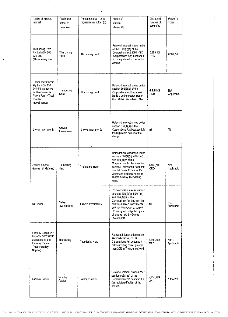| Holder of relevant<br>interest                                                                                                     | Registered<br>holder of<br>securities | Person entitled to be<br>registered as holder (8) | Nature of<br>relevant<br>interest (6)                                                                                                                                                                                                                               | Class and<br>number of<br>securities | Person's<br>votes   |
|------------------------------------------------------------------------------------------------------------------------------------|---------------------------------------|---------------------------------------------------|---------------------------------------------------------------------------------------------------------------------------------------------------------------------------------------------------------------------------------------------------------------------|--------------------------------------|---------------------|
| Thundering Herd<br>Pty Ltd ACN 603<br>726 085<br>(Thundering Herd)                                                                 | Thundering<br>Herd                    | Thundering Herd                                   | Relevant interest arises under<br>section 608(1)(a) of the<br>Corporations Act 2001 (Cth)<br>(Corporations Act) because it<br>is the registered holder of the<br>shares.                                                                                            | 6.990.508<br>ORD                     | 6,990,508           |
| Galvez Investments<br>Pty Ltd ACN 157<br>945 545 as trustee<br>for the Galvez de<br>Rivero Family Trust<br>(Galvez<br>(nvestments) | Thundering<br>Herd                    | Thundering Hard                                   | Relevant interest arises under<br>section 608(3)(a) of the<br>Corporations Act because it<br>holds a voting power greater.<br>than 20% in Thundering Herd.                                                                                                          | 6,990,508<br>ORD.                    | Not.<br>Applicable  |
| Galvez Investments                                                                                                                 | Galvezi<br>Investments                | Galvez Investments                                | Relevant interest arises under<br>section 608(1)(a) of the<br>Corporations Act because it is<br>the registered holder of the<br>shares.                                                                                                                             | пi                                   | Nil                 |
| Joseph Alberto<br>Galvez (Mr Galvez)                                                                                               | Thundering<br>Herd                    | Thundering Herd                                   | Relevant interest arises under<br>sections 608(1)(b), 608(1)(c)<br>and 608(3)(b) of the<br>Corporations Act because he<br>controls Thundering Herd and<br>has the power to control the<br>voting and disposal rights of<br>shares held by Thundering<br>Herd.       | 6,990,508<br>ORD.                    | Not<br>Applicable   |
| Mr Gaivez                                                                                                                          | Galvez.<br>investments                | Galvez Investments                                | Relevant interest arises under<br>sections 608(1)(b), 608(1)(c)<br>and 608(3)(b) of the<br>Corporations Act because he<br>controls Galvez Investments<br>and has the power to control.<br>the voting and disposal rights<br>of shares held by Galvez<br>Investments | Nil                                  | Not<br>Applicable   |
| Faraday Capital Pty<br>Ltd ACN 600599246<br>as trustee for the<br>Faraday Capital<br>Trust (Faraday<br>Capital)                    | Thundering<br>Herd                    | Thundering Herd                                   | Relevant interest arises under<br>section 608(3)(a) of the<br>Corporations Act because it<br>holds a voting power greater.<br>than 20% in Thundering Herd.                                                                                                          | 6,990,508<br>ORD                     | Not .<br>Applicable |
| . Faraday Capital                                                                                                                  | Faraday<br>Capital                    | Faraday Capital                                   | Relevant interest arises under<br>section 608(1)(a) of the<br>Corporations Act because it is<br>the registered holder of the<br>shares.                                                                                                                             | 7,435,269<br>ORD.                    | 7 435 269           |

The COMPANY CONSTRUCTION OF THE COMPANY OF THE CONTROL CONTROL CONTROL CONTROL CONTROL CONTROL CONTROL CONTROL CONTROL CONTROL CONTROL CONTROL CONTROL CONTROL CONTROL CONTROL CONTROL CONTROL CONTROL CONTROL CONTROL CONTROL

 $\mathcal{A}^{\mathcal{A}}$ 

 $\sim$ 

 $\sim 10^{-11}$ 

 $\langle \sigma \rangle$  .

 $\hat{\mathcal{A}}$ 

 $\bar{ }$  ,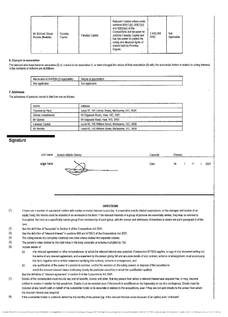| Mr Michael Shaun<br>Faraday<br>Caultai<br>Reddie (Reddie) | Faraday Capital | Relevant interest arises under<br>sections $608(1)(b)$ , $608(1)(c)$<br>and $608(3)(b)$ of the<br>Corporations Act because he<br>controls Faraday Capital and<br>has the power to control the<br>voting and disposal rights of<br>shares held by Faraday<br>Capital. | 7.435.269<br>ORD | Not<br>Applicable |
|-----------------------------------------------------------|-----------------|----------------------------------------------------------------------------------------------------------------------------------------------------------------------------------------------------------------------------------------------------------------------|------------------|-------------------|

#### 6. Changes in association

The persons who have become associates (2) of, coased to be associates of, or have changed the nature of their association (9) with, the substantial holder in relation to voting interests in the company or scheme are as follows:

| . ACN/ARSN<br>' (it applicable)<br>Name and | <b>BSSOCIAtion</b><br>Nature of |  |
|---------------------------------------------|---------------------------------|--|
| Not applicable                              | Not applicable                  |  |

#### 7. Addresses

The addresses of persons named in this form are as follows:

| Name               | Address                                            |
|--------------------|----------------------------------------------------|
| Thundering Herd    | Level 27, 101 Collins Street, Melbourne, VIC, 3000 |
| Galvez Investments | 84 Edgevale Road., Kew, VIC, 3101                  |
| Mr Galvez          | 84 Edgevale Road, Kew, VIC, 3101                   |
| Haraday Capital    | Level 40, 140 William Street, Melbourne, VIC, 3000 |
| Mr Reddie          | Level 40, 140 William Street, Melbourne, VIC, 3000 |

## **Signature**

| print name | Joseph Alberto Galvez                                                                                                                                                                                                          | Japacity | Director |    |      |
|------------|--------------------------------------------------------------------------------------------------------------------------------------------------------------------------------------------------------------------------------|----------|----------|----|------|
| sign here  | Appears and the contract of the component of the contract of the contract of the contract of the contract of the contract of the contract of the contract of the contract of the contract of the contract of the contract of t | Date     | 16       | 11 | 2021 |

#### **DIRECTIONS**

- $(1)$ If there are a number of substantial holders with similar or retated relevant issues (eg. A corporation and its related corporations, or the manager and trustoe of an equity trust), the names could be included in an annexure to the form. If the relevant interests of a group of persons are essentially similar, they may be referred to throughout the form as a specifically named group if the membership of each group, with the names and addresses of members is clearly set out in paragraph 6 of the form.
- $(2)$ See the definition of "associate" in Section 9 of the Corporations Act 2001.
- $(3)$ See the definition of "relevant interest" in sections 608 and 671B(7) of the Corporations Act 2001.
- $\left( 4\right)$ The voting shares of a company constitute one class unless divided into separate classes.
- $(5)$ The person's votes divided by the total votes in the body corporate or scheme multiplied by 100.
- $(6)$ Include details of:
	- any relevant agreement or other circumstances by which the relevant interest was acquired. If subsection 671B(4) applies, a copy of any document setting out  $(a)$ the terms of any relevant agreement, and a statement by the person giving full and accurate details of any contract, scheme or arrangement, must accompany this form, together with a written statement certifying this contract, scheme or arrangement; and
	- $(b)$ any qualification of the power of a person to exercise, control the exercise of, the voting powers or disposal of the securities to which the relevent interest relates (indicating clearly the particular securities to which the qualification applies).
	- See the definition of "relevant agreement" in section 9 of the Corporations Act 2001.
- $(7)$ Dotails of the consideration must include any and all benefits, money and other, that any person from whom a relevant interest was acquired has, or may, become entitled to receive in relation to that acquisition. Details must be included even if the benefit is conditional on the happening or not of a contingency. Details must be included of any benefit paid on behalf of the substantial holder or its associate in relation to the acquisitions, even if they are not paid directly to the person from whom the relevant interest was acquired.
- $(3)$ If the substantial holder in unable to determine the identity of the person (eg. If the relevant interest arises because of an option) write "unknown".